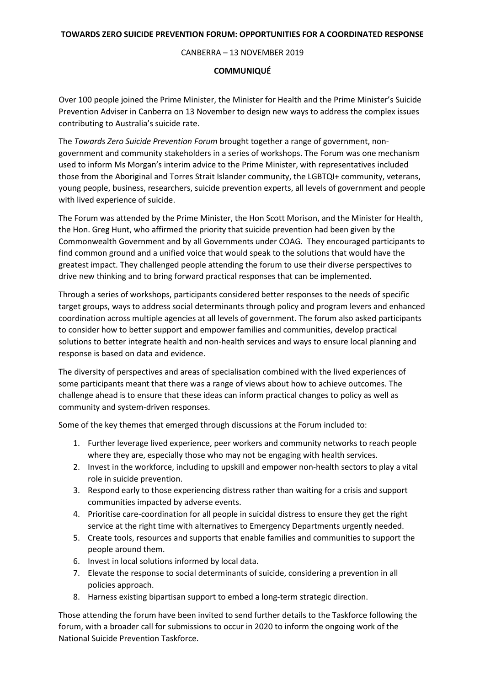## CANBERRA – 13 NOVEMBER 2019

## **COMMUNIQUÉ**

Over 100 people joined the Prime Minister, the Minister for Health and the Prime Minister's Suicide Prevention Adviser in Canberra on 13 November to design new ways to address the complex issues contributing to Australia's suicide rate.

The *Towards Zero Suicide Prevention Forum* brought together a range of government, nongovernment and community stakeholders in a series of workshops. The Forum was one mechanism used to inform Ms Morgan's interim advice to the Prime Minister, with representatives included those from the Aboriginal and Torres Strait Islander community, the LGBTQI+ community, veterans, young people, business, researchers, suicide prevention experts, all levels of government and people with lived experience of suicide.

The Forum was attended by the Prime Minister, the Hon Scott Morison, and the Minister for Health, the Hon. Greg Hunt, who affirmed the priority that suicide prevention had been given by the Commonwealth Government and by all Governments under COAG. They encouraged participants to find common ground and a unified voice that would speak to the solutions that would have the greatest impact. They challenged people attending the forum to use their diverse perspectives to drive new thinking and to bring forward practical responses that can be implemented.

Through a series of workshops, participants considered better responses to the needs of specific target groups, ways to address social determinants through policy and program levers and enhanced coordination across multiple agencies at all levels of government. The forum also asked participants to consider how to better support and empower families and communities, develop practical solutions to better integrate health and non-health services and ways to ensure local planning and response is based on data and evidence.

The diversity of perspectives and areas of specialisation combined with the lived experiences of some participants meant that there was a range of views about how to achieve outcomes. The challenge ahead is to ensure that these ideas can inform practical changes to policy as well as community and system-driven responses.

Some of the key themes that emerged through discussions at the Forum included to:

- 1. Further leverage lived experience, peer workers and community networks to reach people where they are, especially those who may not be engaging with health services.
- 2. Invest in the workforce, including to upskill and empower non-health sectors to play a vital role in suicide prevention.
- 3. Respond early to those experiencing distress rather than waiting for a crisis and support communities impacted by adverse events.
- 4. Prioritise care-coordination for all people in suicidal distress to ensure they get the right service at the right time with alternatives to Emergency Departments urgently needed.
- 5. Create tools, resources and supports that enable families and communities to support the people around them.
- 6. Invest in local solutions informed by local data.
- 7. Elevate the response to social determinants of suicide, considering a prevention in all policies approach.
- 8. Harness existing bipartisan support to embed a long-term strategic direction.

Those attending the forum have been invited to send further details to the Taskforce following the forum, with a broader call for submissions to occur in 2020 to inform the ongoing work of the National Suicide Prevention Taskforce.